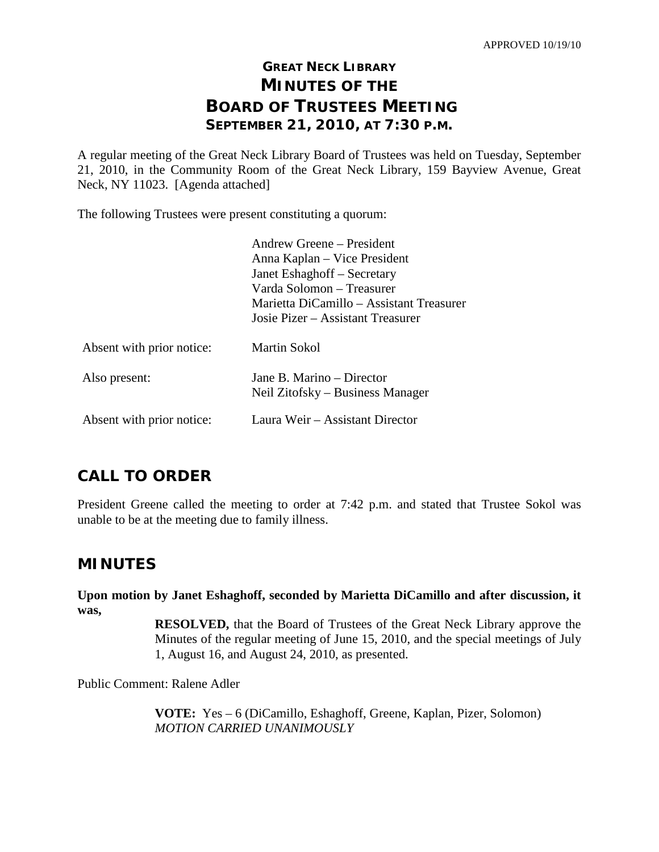# **GREAT NECK LIBRARY MINUTES OF THE BOARD OF TRUSTEES MEETING SEPTEMBER 21, 2010, AT 7:30 P.M.**

A regular meeting of the Great Neck Library Board of Trustees was held on Tuesday, September 21, 2010, in the Community Room of the Great Neck Library, 159 Bayview Avenue, Great Neck, NY 11023. [Agenda attached]

The following Trustees were present constituting a quorum:

| Andrew Greene – President                |
|------------------------------------------|
| Anna Kaplan – Vice President             |
| Janet Eshaghoff – Secretary              |
| Varda Solomon - Treasurer                |
| Marietta DiCamillo – Assistant Treasurer |
| Josie Pizer – Assistant Treasurer        |
|                                          |
| Martin Sokol                             |
|                                          |
|                                          |
| Jane B. Marino – Director                |
| Neil Zitofsky – Business Manager         |
| Laura Weir - Assistant Director          |
|                                          |

# **CALL TO ORDER**

President Greene called the meeting to order at 7:42 p.m. and stated that Trustee Sokol was unable to be at the meeting due to family illness.

# **MINUTES**

**Upon motion by Janet Eshaghoff, seconded by Marietta DiCamillo and after discussion, it was,**

> **RESOLVED,** that the Board of Trustees of the Great Neck Library approve the Minutes of the regular meeting of June 15, 2010, and the special meetings of July 1, August 16, and August 24, 2010, as presented.

Public Comment: Ralene Adler

**VOTE:** Yes – 6 (DiCamillo, Eshaghoff, Greene, Kaplan, Pizer, Solomon) *MOTION CARRIED UNANIMOUSLY*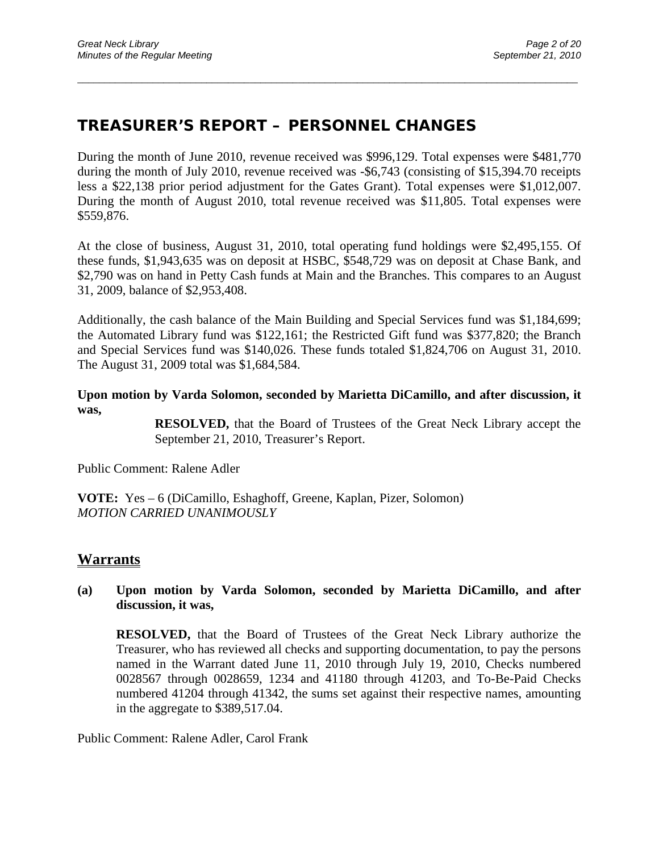# **TREASURER'S REPORT – PERSONNEL CHANGES**

During the month of June 2010, revenue received was \$996,129. Total expenses were \$481,770 during the month of July 2010, revenue received was -\$6,743 (consisting of \$15,394.70 receipts less a \$22,138 prior period adjustment for the Gates Grant). Total expenses were \$1,012,007. During the month of August 2010, total revenue received was \$11,805. Total expenses were \$559,876.

\_\_\_\_\_\_\_\_\_\_\_\_\_\_\_\_\_\_\_\_\_\_\_\_\_\_\_\_\_\_\_\_\_\_\_\_\_\_\_\_\_\_\_\_\_\_\_\_\_\_\_\_\_\_\_\_\_\_\_\_\_\_\_\_\_\_\_\_\_\_\_\_\_\_\_\_\_\_\_\_\_\_\_\_\_\_\_\_\_\_\_\_\_

At the close of business, August 31, 2010, total operating fund holdings were \$2,495,155. Of these funds, \$1,943,635 was on deposit at HSBC, \$548,729 was on deposit at Chase Bank, and \$2,790 was on hand in Petty Cash funds at Main and the Branches. This compares to an August 31, 2009, balance of \$2,953,408.

Additionally, the cash balance of the Main Building and Special Services fund was \$1,184,699; the Automated Library fund was \$122,161; the Restricted Gift fund was \$377,820; the Branch and Special Services fund was \$140,026. These funds totaled \$1,824,706 on August 31, 2010. The August 31, 2009 total was \$1,684,584.

### **Upon motion by Varda Solomon, seconded by Marietta DiCamillo, and after discussion, it was,**

**RESOLVED,** that the Board of Trustees of the Great Neck Library accept the September 21, 2010, Treasurer's Report.

Public Comment: Ralene Adler

**VOTE:** Yes – 6 (DiCamillo, Eshaghoff, Greene, Kaplan, Pizer, Solomon) *MOTION CARRIED UNANIMOUSLY*

### **Warrants**

### **(a) Upon motion by Varda Solomon, seconded by Marietta DiCamillo, and after discussion, it was,**

**RESOLVED,** that the Board of Trustees of the Great Neck Library authorize the Treasurer, who has reviewed all checks and supporting documentation, to pay the persons named in the Warrant dated June 11, 2010 through July 19, 2010, Checks numbered 0028567 through 0028659, 1234 and 41180 through 41203, and To-Be-Paid Checks numbered 41204 through 41342, the sums set against their respective names, amounting in the aggregate to \$389,517.04.

Public Comment: Ralene Adler, Carol Frank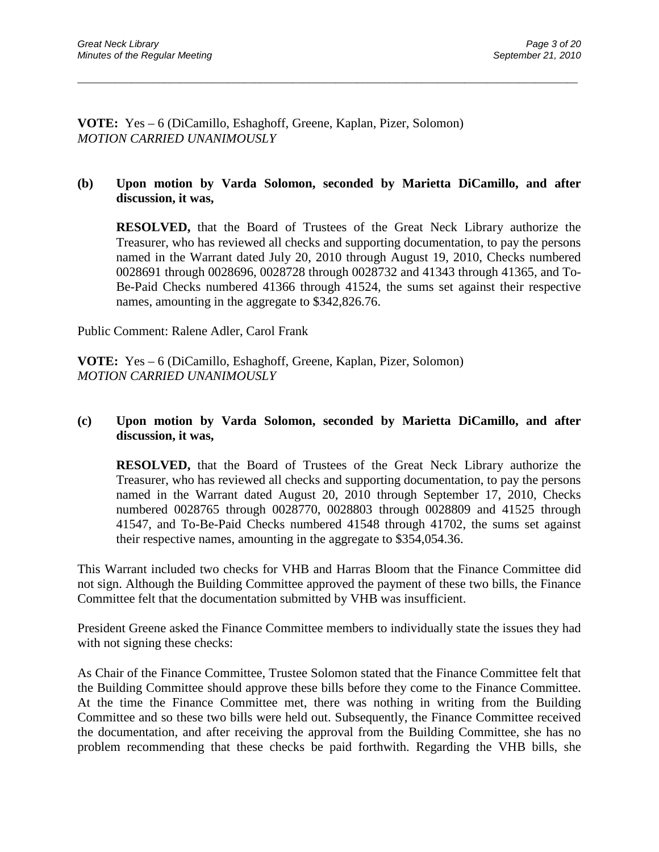**VOTE:** Yes – 6 (DiCamillo, Eshaghoff, Greene, Kaplan, Pizer, Solomon) *MOTION CARRIED UNANIMOUSLY*

### **(b) Upon motion by Varda Solomon, seconded by Marietta DiCamillo, and after discussion, it was,**

\_\_\_\_\_\_\_\_\_\_\_\_\_\_\_\_\_\_\_\_\_\_\_\_\_\_\_\_\_\_\_\_\_\_\_\_\_\_\_\_\_\_\_\_\_\_\_\_\_\_\_\_\_\_\_\_\_\_\_\_\_\_\_\_\_\_\_\_\_\_\_\_\_\_\_\_\_\_\_\_\_\_\_\_\_\_\_\_\_\_\_\_\_

**RESOLVED,** that the Board of Trustees of the Great Neck Library authorize the Treasurer, who has reviewed all checks and supporting documentation, to pay the persons named in the Warrant dated July 20, 2010 through August 19, 2010, Checks numbered 0028691 through 0028696, 0028728 through 0028732 and 41343 through 41365, and To-Be-Paid Checks numbered 41366 through 41524, the sums set against their respective names, amounting in the aggregate to \$342,826.76.

Public Comment: Ralene Adler, Carol Frank

**VOTE:** Yes – 6 (DiCamillo, Eshaghoff, Greene, Kaplan, Pizer, Solomon) *MOTION CARRIED UNANIMOUSLY*

### **(c) Upon motion by Varda Solomon, seconded by Marietta DiCamillo, and after discussion, it was,**

**RESOLVED,** that the Board of Trustees of the Great Neck Library authorize the Treasurer, who has reviewed all checks and supporting documentation, to pay the persons named in the Warrant dated August 20, 2010 through September 17, 2010, Checks numbered 0028765 through 0028770, 0028803 through 0028809 and 41525 through 41547, and To-Be-Paid Checks numbered 41548 through 41702, the sums set against their respective names, amounting in the aggregate to \$354,054.36.

This Warrant included two checks for VHB and Harras Bloom that the Finance Committee did not sign. Although the Building Committee approved the payment of these two bills, the Finance Committee felt that the documentation submitted by VHB was insufficient.

President Greene asked the Finance Committee members to individually state the issues they had with not signing these checks:

As Chair of the Finance Committee, Trustee Solomon stated that the Finance Committee felt that the Building Committee should approve these bills before they come to the Finance Committee. At the time the Finance Committee met, there was nothing in writing from the Building Committee and so these two bills were held out. Subsequently, the Finance Committee received the documentation, and after receiving the approval from the Building Committee, she has no problem recommending that these checks be paid forthwith. Regarding the VHB bills, she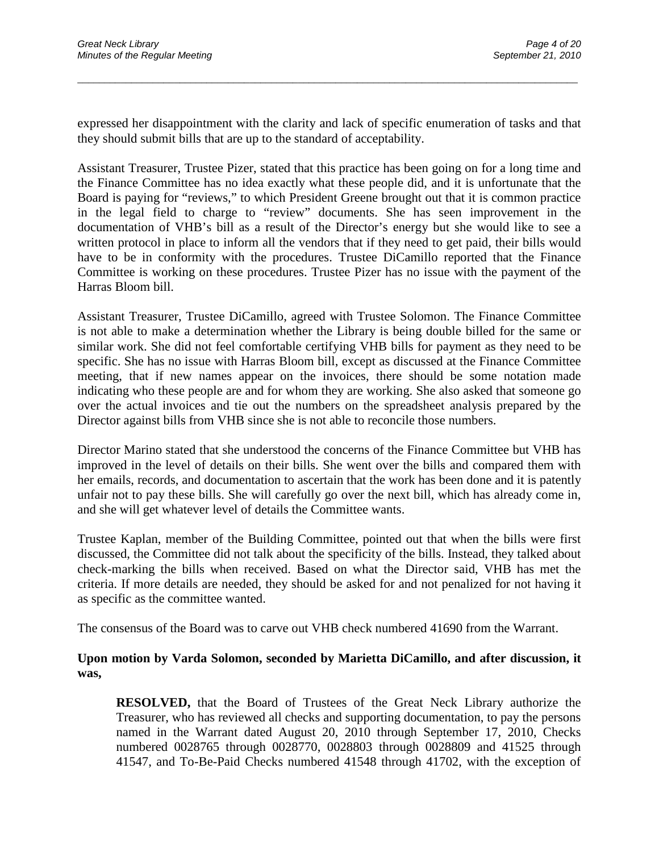expressed her disappointment with the clarity and lack of specific enumeration of tasks and that they should submit bills that are up to the standard of acceptability.

\_\_\_\_\_\_\_\_\_\_\_\_\_\_\_\_\_\_\_\_\_\_\_\_\_\_\_\_\_\_\_\_\_\_\_\_\_\_\_\_\_\_\_\_\_\_\_\_\_\_\_\_\_\_\_\_\_\_\_\_\_\_\_\_\_\_\_\_\_\_\_\_\_\_\_\_\_\_\_\_\_\_\_\_\_\_\_\_\_\_\_\_\_

Assistant Treasurer, Trustee Pizer, stated that this practice has been going on for a long time and the Finance Committee has no idea exactly what these people did, and it is unfortunate that the Board is paying for "reviews," to which President Greene brought out that it is common practice in the legal field to charge to "review" documents. She has seen improvement in the documentation of VHB's bill as a result of the Director's energy but she would like to see a written protocol in place to inform all the vendors that if they need to get paid, their bills would have to be in conformity with the procedures. Trustee DiCamillo reported that the Finance Committee is working on these procedures. Trustee Pizer has no issue with the payment of the Harras Bloom bill.

Assistant Treasurer, Trustee DiCamillo, agreed with Trustee Solomon. The Finance Committee is not able to make a determination whether the Library is being double billed for the same or similar work. She did not feel comfortable certifying VHB bills for payment as they need to be specific. She has no issue with Harras Bloom bill, except as discussed at the Finance Committee meeting, that if new names appear on the invoices, there should be some notation made indicating who these people are and for whom they are working. She also asked that someone go over the actual invoices and tie out the numbers on the spreadsheet analysis prepared by the Director against bills from VHB since she is not able to reconcile those numbers.

Director Marino stated that she understood the concerns of the Finance Committee but VHB has improved in the level of details on their bills. She went over the bills and compared them with her emails, records, and documentation to ascertain that the work has been done and it is patently unfair not to pay these bills. She will carefully go over the next bill, which has already come in, and she will get whatever level of details the Committee wants.

Trustee Kaplan, member of the Building Committee, pointed out that when the bills were first discussed, the Committee did not talk about the specificity of the bills. Instead, they talked about check-marking the bills when received. Based on what the Director said, VHB has met the criteria. If more details are needed, they should be asked for and not penalized for not having it as specific as the committee wanted.

The consensus of the Board was to carve out VHB check numbered 41690 from the Warrant.

### **Upon motion by Varda Solomon, seconded by Marietta DiCamillo, and after discussion, it was,**

**RESOLVED,** that the Board of Trustees of the Great Neck Library authorize the Treasurer, who has reviewed all checks and supporting documentation, to pay the persons named in the Warrant dated August 20, 2010 through September 17, 2010, Checks numbered 0028765 through 0028770, 0028803 through 0028809 and 41525 through 41547, and To-Be-Paid Checks numbered 41548 through 41702, with the exception of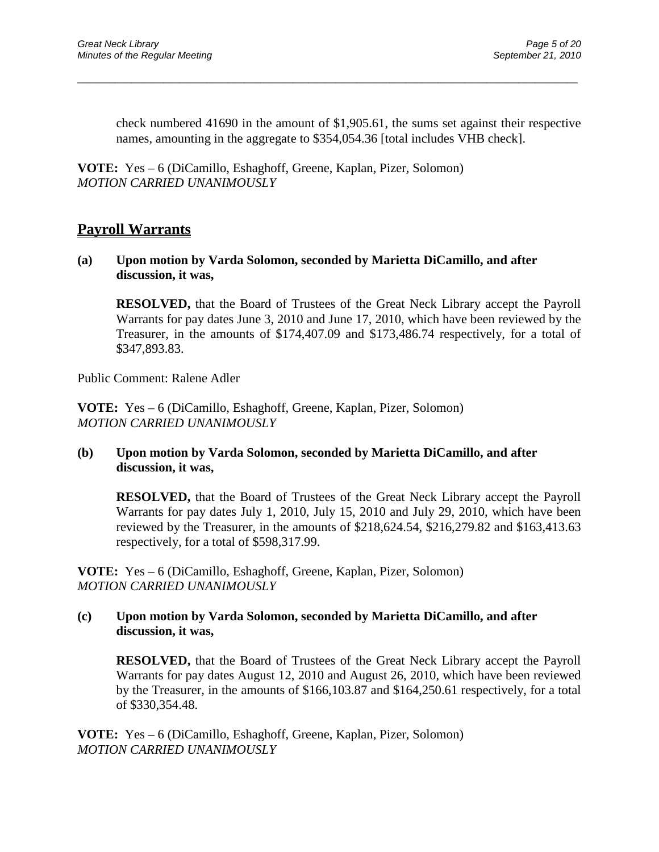check numbered 41690 in the amount of \$1,905.61, the sums set against their respective names, amounting in the aggregate to \$354,054.36 [total includes VHB check].

\_\_\_\_\_\_\_\_\_\_\_\_\_\_\_\_\_\_\_\_\_\_\_\_\_\_\_\_\_\_\_\_\_\_\_\_\_\_\_\_\_\_\_\_\_\_\_\_\_\_\_\_\_\_\_\_\_\_\_\_\_\_\_\_\_\_\_\_\_\_\_\_\_\_\_\_\_\_\_\_\_\_\_\_\_\_\_\_\_\_\_\_\_

**VOTE:** Yes – 6 (DiCamillo, Eshaghoff, Greene, Kaplan, Pizer, Solomon) *MOTION CARRIED UNANIMOUSLY*

## **Payroll Warrants**

### **(a) Upon motion by Varda Solomon, seconded by Marietta DiCamillo, and after discussion, it was,**

**RESOLVED,** that the Board of Trustees of the Great Neck Library accept the Payroll Warrants for pay dates June 3, 2010 and June 17, 2010, which have been reviewed by the Treasurer, in the amounts of \$174,407.09 and \$173,486.74 respectively, for a total of \$347,893.83.

Public Comment: Ralene Adler

**VOTE:** Yes – 6 (DiCamillo, Eshaghoff, Greene, Kaplan, Pizer, Solomon) *MOTION CARRIED UNANIMOUSLY*

### **(b) Upon motion by Varda Solomon, seconded by Marietta DiCamillo, and after discussion, it was,**

**RESOLVED,** that the Board of Trustees of the Great Neck Library accept the Payroll Warrants for pay dates July 1, 2010, July 15, 2010 and July 29, 2010, which have been reviewed by the Treasurer, in the amounts of \$218,624.54, \$216,279.82 and \$163,413.63 respectively, for a total of \$598,317.99.

**VOTE:** Yes – 6 (DiCamillo, Eshaghoff, Greene, Kaplan, Pizer, Solomon) *MOTION CARRIED UNANIMOUSLY*

### **(c) Upon motion by Varda Solomon, seconded by Marietta DiCamillo, and after discussion, it was,**

**RESOLVED,** that the Board of Trustees of the Great Neck Library accept the Payroll Warrants for pay dates August 12, 2010 and August 26, 2010, which have been reviewed by the Treasurer, in the amounts of \$166,103.87 and \$164,250.61 respectively, for a total of \$330,354.48.

**VOTE:** Yes – 6 (DiCamillo, Eshaghoff, Greene, Kaplan, Pizer, Solomon) *MOTION CARRIED UNANIMOUSLY*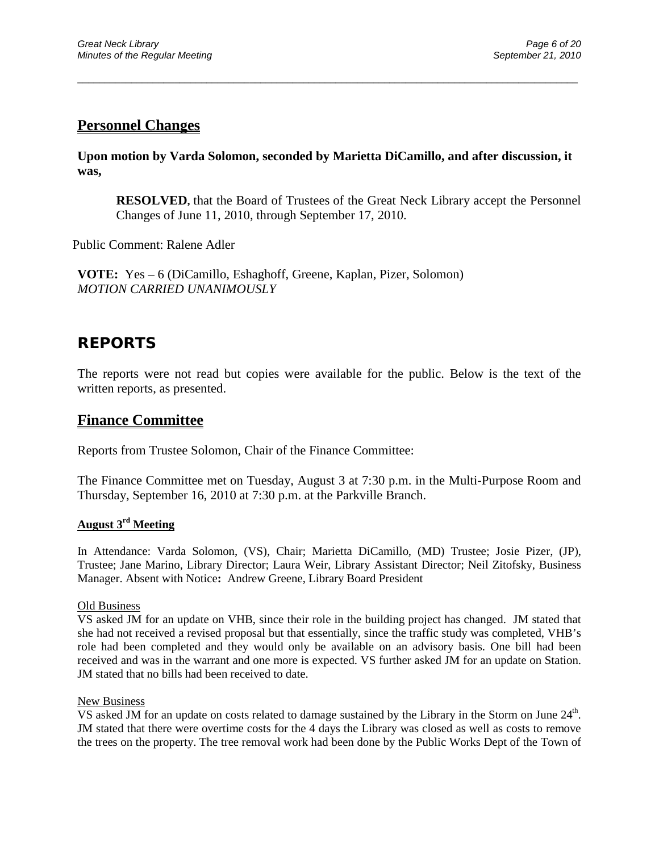# **Personnel Changes**

**Upon motion by Varda Solomon, seconded by Marietta DiCamillo, and after discussion, it was,**

\_\_\_\_\_\_\_\_\_\_\_\_\_\_\_\_\_\_\_\_\_\_\_\_\_\_\_\_\_\_\_\_\_\_\_\_\_\_\_\_\_\_\_\_\_\_\_\_\_\_\_\_\_\_\_\_\_\_\_\_\_\_\_\_\_\_\_\_\_\_\_\_\_\_\_\_\_\_\_\_\_\_\_\_\_\_\_\_\_\_\_\_\_

**RESOLVED,** that the Board of Trustees of the Great Neck Library accept the Personnel Changes of June 11, 2010, through September 17, 2010.

Public Comment: Ralene Adler

**VOTE:** Yes – 6 (DiCamillo, Eshaghoff, Greene, Kaplan, Pizer, Solomon) *MOTION CARRIED UNANIMOUSLY*

# **REPORTS**

The reports were not read but copies were available for the public. Below is the text of the written reports, as presented.

### **Finance Committee**

Reports from Trustee Solomon, Chair of the Finance Committee:

The Finance Committee met on Tuesday, August 3 at 7:30 p.m. in the Multi-Purpose Room and Thursday, September 16, 2010 at 7:30 p.m. at the Parkville Branch.

#### **August 3rd Meeting**

In Attendance: Varda Solomon, (VS), Chair; Marietta DiCamillo, (MD) Trustee; Josie Pizer, (JP), Trustee; Jane Marino, Library Director; Laura Weir, Library Assistant Director; Neil Zitofsky, Business Manager. Absent with Notice**:** Andrew Greene, Library Board President

#### Old Business

VS asked JM for an update on VHB, since their role in the building project has changed. JM stated that she had not received a revised proposal but that essentially, since the traffic study was completed, VHB's role had been completed and they would only be available on an advisory basis. One bill had been received and was in the warrant and one more is expected. VS further asked JM for an update on Station. JM stated that no bills had been received to date.

#### New Business

VS asked JM for an update on costs related to damage sustained by the Library in the Storm on June  $24<sup>th</sup>$ . JM stated that there were overtime costs for the 4 days the Library was closed as well as costs to remove the trees on the property. The tree removal work had been done by the Public Works Dept of the Town of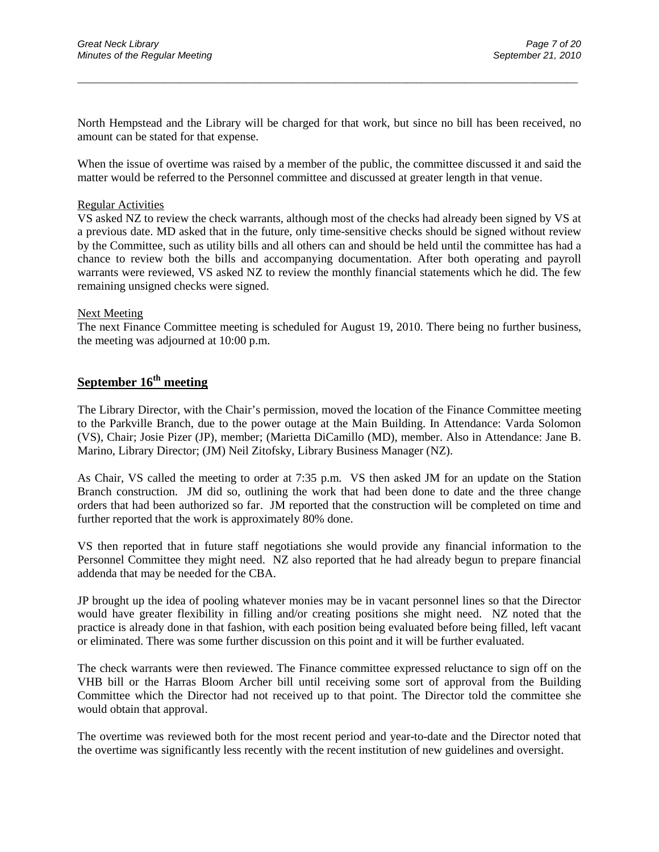North Hempstead and the Library will be charged for that work, but since no bill has been received, no amount can be stated for that expense.

\_\_\_\_\_\_\_\_\_\_\_\_\_\_\_\_\_\_\_\_\_\_\_\_\_\_\_\_\_\_\_\_\_\_\_\_\_\_\_\_\_\_\_\_\_\_\_\_\_\_\_\_\_\_\_\_\_\_\_\_\_\_\_\_\_\_\_\_\_\_\_\_\_\_\_\_\_\_\_\_\_\_\_\_\_\_\_\_\_\_\_\_\_

When the issue of overtime was raised by a member of the public, the committee discussed it and said the matter would be referred to the Personnel committee and discussed at greater length in that venue.

#### Regular Activities

VS asked NZ to review the check warrants, although most of the checks had already been signed by VS at a previous date. MD asked that in the future, only time-sensitive checks should be signed without review by the Committee, such as utility bills and all others can and should be held until the committee has had a chance to review both the bills and accompanying documentation. After both operating and payroll warrants were reviewed, VS asked NZ to review the monthly financial statements which he did. The few remaining unsigned checks were signed.

#### Next Meeting

The next Finance Committee meeting is scheduled for August 19, 2010. There being no further business, the meeting was adjourned at 10:00 p.m.

## **September 16<sup>th</sup> meeting**

The Library Director, with the Chair's permission, moved the location of the Finance Committee meeting to the Parkville Branch, due to the power outage at the Main Building. In Attendance: Varda Solomon (VS), Chair; Josie Pizer (JP), member; (Marietta DiCamillo (MD), member. Also in Attendance: Jane B. Marino, Library Director; (JM) Neil Zitofsky, Library Business Manager (NZ).

As Chair, VS called the meeting to order at 7:35 p.m. VS then asked JM for an update on the Station Branch construction. JM did so, outlining the work that had been done to date and the three change orders that had been authorized so far. JM reported that the construction will be completed on time and further reported that the work is approximately 80% done.

VS then reported that in future staff negotiations she would provide any financial information to the Personnel Committee they might need. NZ also reported that he had already begun to prepare financial addenda that may be needed for the CBA.

JP brought up the idea of pooling whatever monies may be in vacant personnel lines so that the Director would have greater flexibility in filling and/or creating positions she might need. NZ noted that the practice is already done in that fashion, with each position being evaluated before being filled, left vacant or eliminated. There was some further discussion on this point and it will be further evaluated.

The check warrants were then reviewed. The Finance committee expressed reluctance to sign off on the VHB bill or the Harras Bloom Archer bill until receiving some sort of approval from the Building Committee which the Director had not received up to that point. The Director told the committee she would obtain that approval.

The overtime was reviewed both for the most recent period and year-to-date and the Director noted that the overtime was significantly less recently with the recent institution of new guidelines and oversight.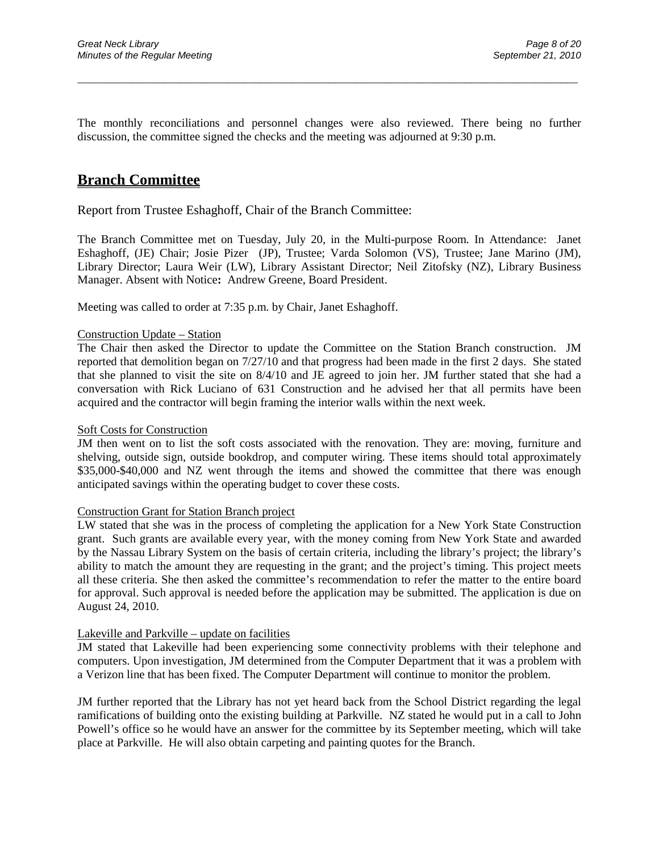The monthly reconciliations and personnel changes were also reviewed. There being no further discussion, the committee signed the checks and the meeting was adjourned at 9:30 p.m.

\_\_\_\_\_\_\_\_\_\_\_\_\_\_\_\_\_\_\_\_\_\_\_\_\_\_\_\_\_\_\_\_\_\_\_\_\_\_\_\_\_\_\_\_\_\_\_\_\_\_\_\_\_\_\_\_\_\_\_\_\_\_\_\_\_\_\_\_\_\_\_\_\_\_\_\_\_\_\_\_\_\_\_\_\_\_\_\_\_\_\_\_\_

# **Branch Committee**

Report from Trustee Eshaghoff, Chair of the Branch Committee:

The Branch Committee met on Tuesday, July 20, in the Multi-purpose Room. In Attendance:Janet Eshaghoff, (JE) Chair; Josie Pizer (JP), Trustee; Varda Solomon (VS), Trustee; Jane Marino (JM), Library Director; Laura Weir (LW), Library Assistant Director; Neil Zitofsky (NZ), Library Business Manager. Absent with Notice**:** Andrew Greene, Board President.

Meeting was called to order at 7:35 p.m. by Chair, Janet Eshaghoff.

#### Construction Update – Station

The Chair then asked the Director to update the Committee on the Station Branch construction. JM reported that demolition began on 7/27/10 and that progress had been made in the first 2 days. She stated that she planned to visit the site on 8/4/10 and JE agreed to join her. JM further stated that she had a conversation with Rick Luciano of 631 Construction and he advised her that all permits have been acquired and the contractor will begin framing the interior walls within the next week.

#### Soft Costs for Construction

JM then went on to list the soft costs associated with the renovation. They are: moving, furniture and shelving, outside sign, outside bookdrop, and computer wiring. These items should total approximately \$35,000-\$40,000 and NZ went through the items and showed the committee that there was enough anticipated savings within the operating budget to cover these costs.

#### Construction Grant for Station Branch project

LW stated that she was in the process of completing the application for a New York State Construction grant. Such grants are available every year, with the money coming from New York State and awarded by the Nassau Library System on the basis of certain criteria, including the library's project; the library's ability to match the amount they are requesting in the grant; and the project's timing. This project meets all these criteria. She then asked the committee's recommendation to refer the matter to the entire board for approval. Such approval is needed before the application may be submitted. The application is due on August 24, 2010.

#### Lakeville and Parkville – update on facilities

JM stated that Lakeville had been experiencing some connectivity problems with their telephone and computers. Upon investigation, JM determined from the Computer Department that it was a problem with a Verizon line that has been fixed. The Computer Department will continue to monitor the problem.

JM further reported that the Library has not yet heard back from the School District regarding the legal ramifications of building onto the existing building at Parkville. NZ stated he would put in a call to John Powell's office so he would have an answer for the committee by its September meeting, which will take place at Parkville. He will also obtain carpeting and painting quotes for the Branch.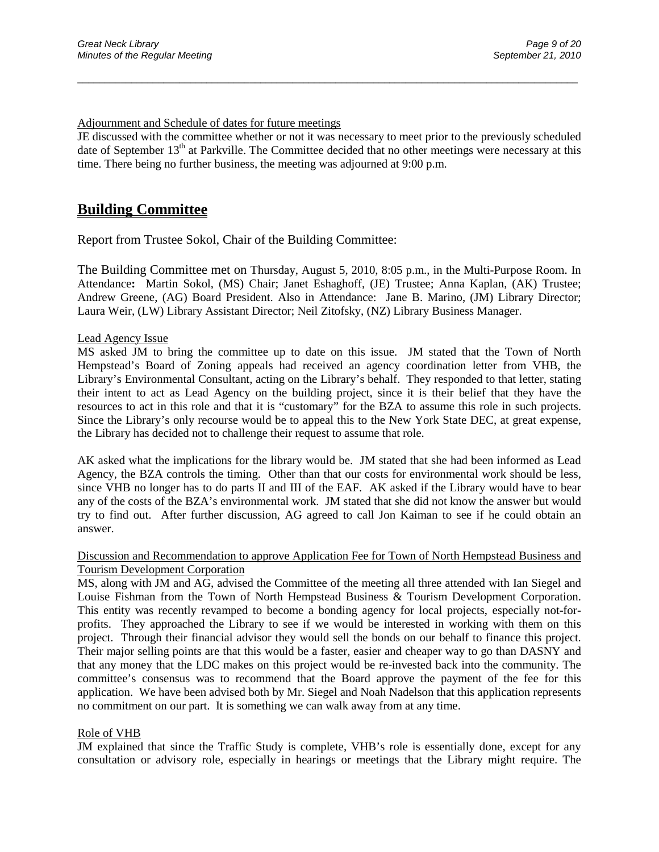### Adjournment and Schedule of dates for future meetings

JE discussed with the committee whether or not it was necessary to meet prior to the previously scheduled date of September  $13<sup>th</sup>$  at Parkville. The Committee decided that no other meetings were necessary at this time. There being no further business, the meeting was adjourned at 9:00 p.m.

\_\_\_\_\_\_\_\_\_\_\_\_\_\_\_\_\_\_\_\_\_\_\_\_\_\_\_\_\_\_\_\_\_\_\_\_\_\_\_\_\_\_\_\_\_\_\_\_\_\_\_\_\_\_\_\_\_\_\_\_\_\_\_\_\_\_\_\_\_\_\_\_\_\_\_\_\_\_\_\_\_\_\_\_\_\_\_\_\_\_\_\_\_

# **Building Committee**

Report from Trustee Sokol, Chair of the Building Committee:

The Building Committee met on Thursday, August 5, 2010, 8:05 p.m., in the Multi-Purpose Room. In Attendance**:** Martin Sokol, (MS) Chair; Janet Eshaghoff, (JE) Trustee; Anna Kaplan, (AK) Trustee; Andrew Greene, (AG) Board President. Also in Attendance:Jane B. Marino, (JM) Library Director; Laura Weir, (LW) Library Assistant Director; Neil Zitofsky, (NZ) Library Business Manager.

### Lead Agency Issue

MS asked JM to bring the committee up to date on this issue. JM stated that the Town of North Hempstead's Board of Zoning appeals had received an agency coordination letter from VHB, the Library's Environmental Consultant, acting on the Library's behalf. They responded to that letter, stating their intent to act as Lead Agency on the building project, since it is their belief that they have the resources to act in this role and that it is "customary" for the BZA to assume this role in such projects. Since the Library's only recourse would be to appeal this to the New York State DEC, at great expense, the Library has decided not to challenge their request to assume that role.

AK asked what the implications for the library would be. JM stated that she had been informed as Lead Agency, the BZA controls the timing. Other than that our costs for environmental work should be less, since VHB no longer has to do parts II and III of the EAF. AK asked if the Library would have to bear any of the costs of the BZA's environmental work. JM stated that she did not know the answer but would try to find out. After further discussion, AG agreed to call Jon Kaiman to see if he could obtain an answer.

#### Discussion and Recommendation to approve Application Fee for Town of North Hempstead Business and Tourism Development Corporation

MS, along with JM and AG, advised the Committee of the meeting all three attended with Ian Siegel and Louise Fishman from the Town of North Hempstead Business & Tourism Development Corporation. This entity was recently revamped to become a bonding agency for local projects, especially not-forprofits. They approached the Library to see if we would be interested in working with them on this project. Through their financial advisor they would sell the bonds on our behalf to finance this project. Their major selling points are that this would be a faster, easier and cheaper way to go than DASNY and that any money that the LDC makes on this project would be re-invested back into the community. The committee's consensus was to recommend that the Board approve the payment of the fee for this application. We have been advised both by Mr. Siegel and Noah Nadelson that this application represents no commitment on our part. It is something we can walk away from at any time.

### Role of VHB

JM explained that since the Traffic Study is complete, VHB's role is essentially done, except for any consultation or advisory role, especially in hearings or meetings that the Library might require. The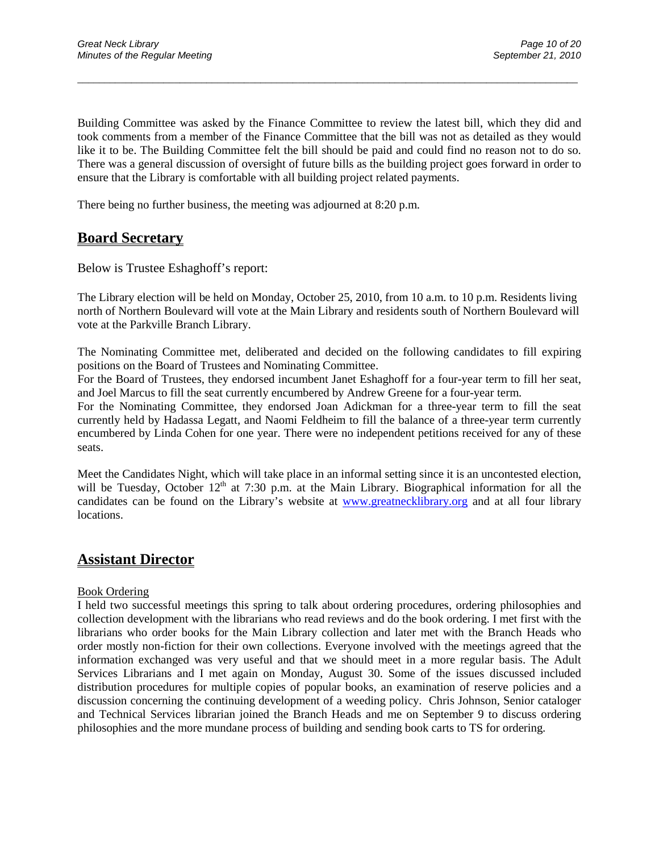Building Committee was asked by the Finance Committee to review the latest bill, which they did and took comments from a member of the Finance Committee that the bill was not as detailed as they would like it to be. The Building Committee felt the bill should be paid and could find no reason not to do so. There was a general discussion of oversight of future bills as the building project goes forward in order to ensure that the Library is comfortable with all building project related payments.

\_\_\_\_\_\_\_\_\_\_\_\_\_\_\_\_\_\_\_\_\_\_\_\_\_\_\_\_\_\_\_\_\_\_\_\_\_\_\_\_\_\_\_\_\_\_\_\_\_\_\_\_\_\_\_\_\_\_\_\_\_\_\_\_\_\_\_\_\_\_\_\_\_\_\_\_\_\_\_\_\_\_\_\_\_\_\_\_\_\_\_\_\_

There being no further business, the meeting was adjourned at 8:20 p.m.

## **Board Secretary**

Below is Trustee Eshaghoff's report:

The Library election will be held on Monday, October 25, 2010, from 10 a.m. to 10 p.m. Residents living north of Northern Boulevard will vote at the Main Library and residents south of Northern Boulevard will vote at the Parkville Branch Library.

The Nominating Committee met, deliberated and decided on the following candidates to fill expiring positions on the Board of Trustees and Nominating Committee.

For the Board of Trustees, they endorsed incumbent Janet Eshaghoff for a four-year term to fill her seat, and Joel Marcus to fill the seat currently encumbered by Andrew Greene for a four-year term.

For the Nominating Committee, they endorsed Joan Adickman for a three-year term to fill the seat currently held by Hadassa Legatt, and Naomi Feldheim to fill the balance of a three-year term currently encumbered by Linda Cohen for one year. There were no independent petitions received for any of these seats.

Meet the Candidates Night, which will take place in an informal setting since it is an uncontested election, will be Tuesday, October 12<sup>th</sup> at 7:30 p.m. at the Main Library. Biographical information for all the candidates can be found on the Library's website at [www.greatnecklibrary.org](http://www.greatnecklibrary.org/) and at all four library locations.

## **Assistant Director**

#### Book Ordering

I held two successful meetings this spring to talk about ordering procedures, ordering philosophies and collection development with the librarians who read reviews and do the book ordering. I met first with the librarians who order books for the Main Library collection and later met with the Branch Heads who order mostly non-fiction for their own collections. Everyone involved with the meetings agreed that the information exchanged was very useful and that we should meet in a more regular basis. The Adult Services Librarians and I met again on Monday, August 30. Some of the issues discussed included distribution procedures for multiple copies of popular books, an examination of reserve policies and a discussion concerning the continuing development of a weeding policy. Chris Johnson, Senior cataloger and Technical Services librarian joined the Branch Heads and me on September 9 to discuss ordering philosophies and the more mundane process of building and sending book carts to TS for ordering.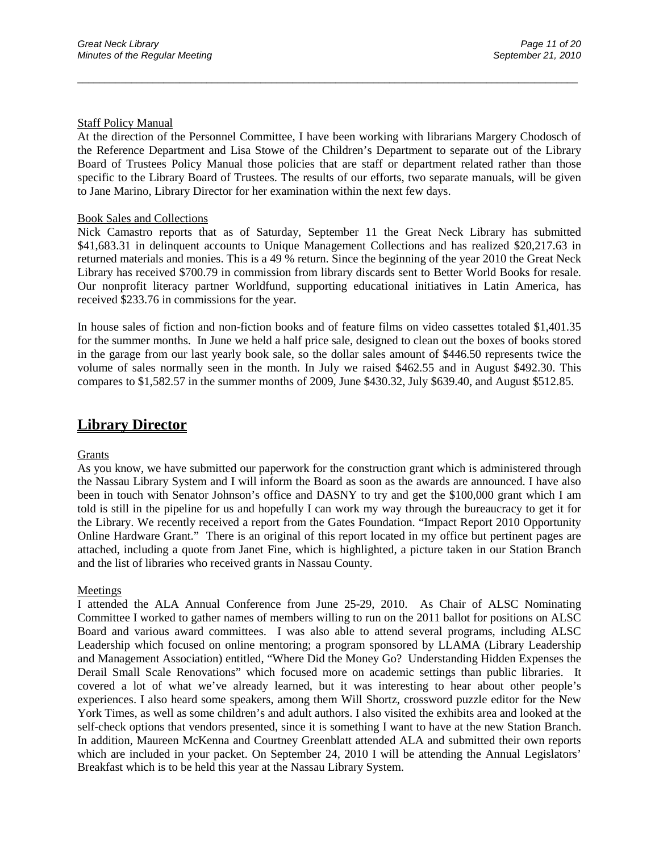#### Staff Policy Manual

At the direction of the Personnel Committee, I have been working with librarians Margery Chodosch of the Reference Department and Lisa Stowe of the Children's Department to separate out of the Library Board of Trustees Policy Manual those policies that are staff or department related rather than those specific to the Library Board of Trustees. The results of our efforts, two separate manuals, will be given to Jane Marino, Library Director for her examination within the next few days.

\_\_\_\_\_\_\_\_\_\_\_\_\_\_\_\_\_\_\_\_\_\_\_\_\_\_\_\_\_\_\_\_\_\_\_\_\_\_\_\_\_\_\_\_\_\_\_\_\_\_\_\_\_\_\_\_\_\_\_\_\_\_\_\_\_\_\_\_\_\_\_\_\_\_\_\_\_\_\_\_\_\_\_\_\_\_\_\_\_\_\_\_\_

#### Book Sales and Collections

Nick Camastro reports that as of Saturday, September 11 the Great Neck Library has submitted \$41,683.31 in delinquent accounts to Unique Management Collections and has realized \$20,217.63 in returned materials and monies. This is a 49 % return. Since the beginning of the year 2010 the Great Neck Library has received \$700.79 in commission from library discards sent to Better World Books for resale. Our nonprofit literacy partner Worldfund, supporting educational initiatives in Latin America, has received \$233.76 in commissions for the year.

In house sales of fiction and non-fiction books and of feature films on video cassettes totaled \$1,401.35 for the summer months. In June we held a half price sale, designed to clean out the boxes of books stored in the garage from our last yearly book sale, so the dollar sales amount of \$446.50 represents twice the volume of sales normally seen in the month. In July we raised \$462.55 and in August \$492.30. This compares to \$1,582.57 in the summer months of 2009, June \$430.32, July \$639.40, and August \$512.85.

## **Library Director**

**Grants** 

As you know, we have submitted our paperwork for the construction grant which is administered through the Nassau Library System and I will inform the Board as soon as the awards are announced. I have also been in touch with Senator Johnson's office and DASNY to try and get the \$100,000 grant which I am told is still in the pipeline for us and hopefully I can work my way through the bureaucracy to get it for the Library. We recently received a report from the Gates Foundation. "Impact Report 2010 Opportunity Online Hardware Grant." There is an original of this report located in my office but pertinent pages are attached, including a quote from Janet Fine, which is highlighted, a picture taken in our Station Branch and the list of libraries who received grants in Nassau County.

#### Meetings

I attended the ALA Annual Conference from June 25-29, 2010. As Chair of ALSC Nominating Committee I worked to gather names of members willing to run on the 2011 ballot for positions on ALSC Board and various award committees. I was also able to attend several programs, including ALSC Leadership which focused on online mentoring; a program sponsored by LLAMA (Library Leadership and Management Association) entitled, "Where Did the Money Go? Understanding Hidden Expenses the Derail Small Scale Renovations" which focused more on academic settings than public libraries. It covered a lot of what we've already learned, but it was interesting to hear about other people's experiences. I also heard some speakers, among them Will Shortz, crossword puzzle editor for the New York Times, as well as some children's and adult authors. I also visited the exhibits area and looked at the self-check options that vendors presented, since it is something I want to have at the new Station Branch. In addition, Maureen McKenna and Courtney Greenblatt attended ALA and submitted their own reports which are included in your packet. On September 24, 2010 I will be attending the Annual Legislators' Breakfast which is to be held this year at the Nassau Library System.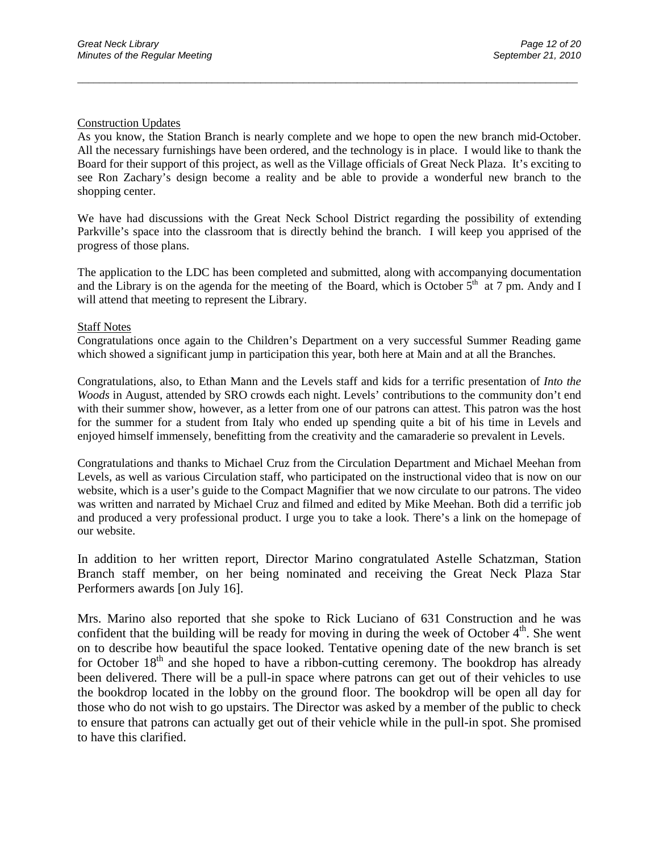#### Construction Updates

As you know, the Station Branch is nearly complete and we hope to open the new branch mid-October. All the necessary furnishings have been ordered, and the technology is in place. I would like to thank the Board for their support of this project, as well as the Village officials of Great Neck Plaza. It's exciting to see Ron Zachary's design become a reality and be able to provide a wonderful new branch to the shopping center.

\_\_\_\_\_\_\_\_\_\_\_\_\_\_\_\_\_\_\_\_\_\_\_\_\_\_\_\_\_\_\_\_\_\_\_\_\_\_\_\_\_\_\_\_\_\_\_\_\_\_\_\_\_\_\_\_\_\_\_\_\_\_\_\_\_\_\_\_\_\_\_\_\_\_\_\_\_\_\_\_\_\_\_\_\_\_\_\_\_\_\_\_\_

We have had discussions with the Great Neck School District regarding the possibility of extending Parkville's space into the classroom that is directly behind the branch. I will keep you apprised of the progress of those plans.

The application to the LDC has been completed and submitted, along with accompanying documentation and the Library is on the agenda for the meeting of the Board, which is October  $5<sup>th</sup>$  at 7 pm. Andy and I will attend that meeting to represent the Library.

#### Staff Notes

Congratulations once again to the Children's Department on a very successful Summer Reading game which showed a significant jump in participation this year, both here at Main and at all the Branches.

Congratulations, also, to Ethan Mann and the Levels staff and kids for a terrific presentation of *Into the Woods* in August, attended by SRO crowds each night. Levels' contributions to the community don't end with their summer show, however, as a letter from one of our patrons can attest. This patron was the host for the summer for a student from Italy who ended up spending quite a bit of his time in Levels and enjoyed himself immensely, benefitting from the creativity and the camaraderie so prevalent in Levels.

Congratulations and thanks to Michael Cruz from the Circulation Department and Michael Meehan from Levels, as well as various Circulation staff, who participated on the instructional video that is now on our website, which is a user's guide to the Compact Magnifier that we now circulate to our patrons. The video was written and narrated by Michael Cruz and filmed and edited by Mike Meehan. Both did a terrific job and produced a very professional product. I urge you to take a look. There's a link on the homepage of our website.

In addition to her written report, Director Marino congratulated Astelle Schatzman, Station Branch staff member, on her being nominated and receiving the Great Neck Plaza Star Performers awards [on July 16].

Mrs. Marino also reported that she spoke to Rick Luciano of 631 Construction and he was confident that the building will be ready for moving in during the week of October  $4<sup>th</sup>$ . She went on to describe how beautiful the space looked. Tentative opening date of the new branch is set for October  $18<sup>th</sup>$  and she hoped to have a ribbon-cutting ceremony. The bookdrop has already been delivered. There will be a pull-in space where patrons can get out of their vehicles to use the bookdrop located in the lobby on the ground floor. The bookdrop will be open all day for those who do not wish to go upstairs. The Director was asked by a member of the public to check to ensure that patrons can actually get out of their vehicle while in the pull-in spot. She promised to have this clarified.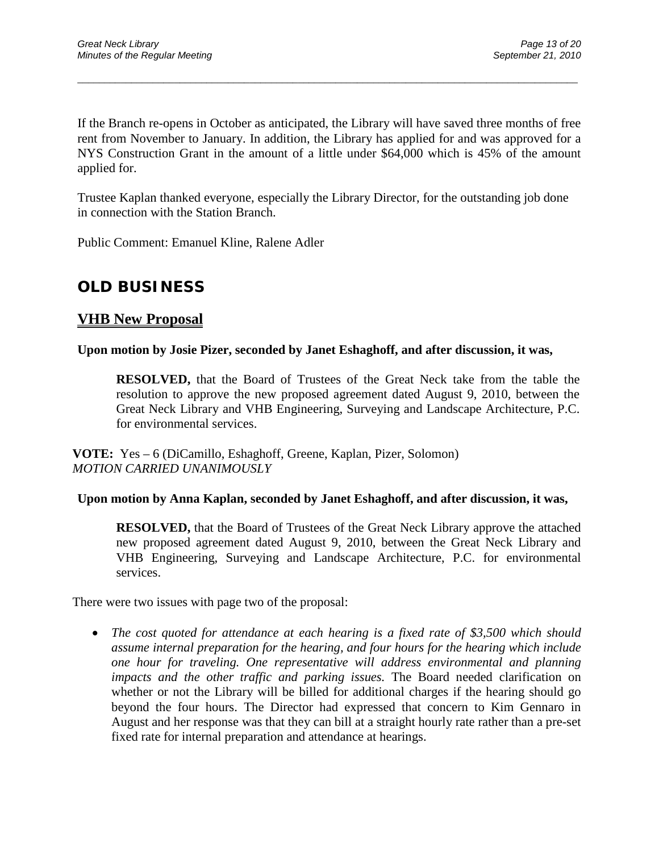If the Branch re-opens in October as anticipated, the Library will have saved three months of free rent from November to January. In addition, the Library has applied for and was approved for a NYS Construction Grant in the amount of a little under \$64,000 which is 45% of the amount applied for.

\_\_\_\_\_\_\_\_\_\_\_\_\_\_\_\_\_\_\_\_\_\_\_\_\_\_\_\_\_\_\_\_\_\_\_\_\_\_\_\_\_\_\_\_\_\_\_\_\_\_\_\_\_\_\_\_\_\_\_\_\_\_\_\_\_\_\_\_\_\_\_\_\_\_\_\_\_\_\_\_\_\_\_\_\_\_\_\_\_\_\_\_\_

Trustee Kaplan thanked everyone, especially the Library Director, for the outstanding job done in connection with the Station Branch.

Public Comment: Emanuel Kline, Ralene Adler

# **OLD BUSINESS**

### **VHB New Proposal**

### **Upon motion by Josie Pizer, seconded by Janet Eshaghoff, and after discussion, it was,**

**RESOLVED,** that the Board of Trustees of the Great Neck take from the table the resolution to approve the new proposed agreement dated August 9, 2010, between the Great Neck Library and VHB Engineering, Surveying and Landscape Architecture, P.C. for environmental services.

**VOTE:** Yes – 6 (DiCamillo, Eshaghoff, Greene, Kaplan, Pizer, Solomon) *MOTION CARRIED UNANIMOUSLY*

### **Upon motion by Anna Kaplan, seconded by Janet Eshaghoff, and after discussion, it was,**

**RESOLVED,** that the Board of Trustees of the Great Neck Library approve the attached new proposed agreement dated August 9, 2010, between the Great Neck Library and VHB Engineering, Surveying and Landscape Architecture, P.C. for environmental services.

There were two issues with page two of the proposal:

• *The cost quoted for attendance at each hearing is a fixed rate of \$3,500 which should assume internal preparation for the hearing, and four hours for the hearing which include one hour for traveling. One representative will address environmental and planning impacts and the other traffic and parking issues.* The Board needed clarification on whether or not the Library will be billed for additional charges if the hearing should go beyond the four hours. The Director had expressed that concern to Kim Gennaro in August and her response was that they can bill at a straight hourly rate rather than a pre-set fixed rate for internal preparation and attendance at hearings.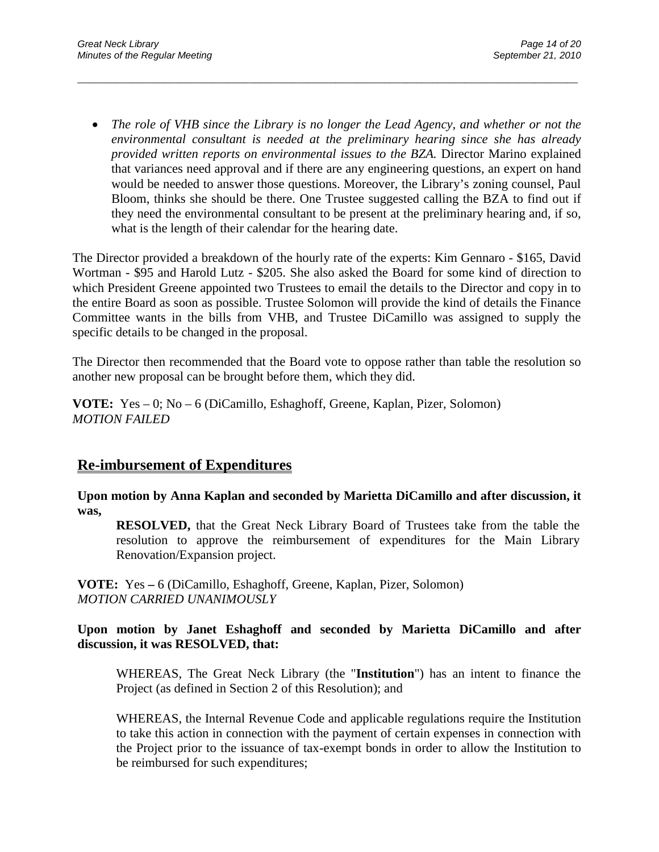• *The role of VHB since the Library is no longer the Lead Agency, and whether or not the environmental consultant is needed at the preliminary hearing since she has already provided written reports on environmental issues to the BZA.* Director Marino explained that variances need approval and if there are any engineering questions, an expert on hand would be needed to answer those questions. Moreover, the Library's zoning counsel, Paul Bloom, thinks she should be there. One Trustee suggested calling the BZA to find out if they need the environmental consultant to be present at the preliminary hearing and, if so, what is the length of their calendar for the hearing date.

\_\_\_\_\_\_\_\_\_\_\_\_\_\_\_\_\_\_\_\_\_\_\_\_\_\_\_\_\_\_\_\_\_\_\_\_\_\_\_\_\_\_\_\_\_\_\_\_\_\_\_\_\_\_\_\_\_\_\_\_\_\_\_\_\_\_\_\_\_\_\_\_\_\_\_\_\_\_\_\_\_\_\_\_\_\_\_\_\_\_\_\_\_

The Director provided a breakdown of the hourly rate of the experts: Kim Gennaro - \$165, David Wortman - \$95 and Harold Lutz - \$205. She also asked the Board for some kind of direction to which President Greene appointed two Trustees to email the details to the Director and copy in to the entire Board as soon as possible. Trustee Solomon will provide the kind of details the Finance Committee wants in the bills from VHB, and Trustee DiCamillo was assigned to supply the specific details to be changed in the proposal.

The Director then recommended that the Board vote to oppose rather than table the resolution so another new proposal can be brought before them, which they did.

**VOTE:** Yes – 0; No – 6 (DiCamillo, Eshaghoff, Greene, Kaplan, Pizer, Solomon) *MOTION FAILED*

# **Re-imbursement of Expenditures**

**Upon motion by Anna Kaplan and seconded by Marietta DiCamillo and after discussion, it was,**

**RESOLVED,** that the Great Neck Library Board of Trustees take from the table the resolution to approve the reimbursement of expenditures for the Main Library Renovation/Expansion project.

**VOTE:** Yes **–** 6 (DiCamillo, Eshaghoff, Greene, Kaplan, Pizer, Solomon) *MOTION CARRIED UNANIMOUSLY*

**Upon motion by Janet Eshaghoff and seconded by Marietta DiCamillo and after discussion, it was RESOLVED, that:**

WHEREAS, The Great Neck Library (the "**Institution**") has an intent to finance the Project (as defined in Section 2 of this Resolution); and

WHEREAS, the Internal Revenue Code and applicable regulations require the Institution to take this action in connection with the payment of certain expenses in connection with the Project prior to the issuance of tax-exempt bonds in order to allow the Institution to be reimbursed for such expenditures;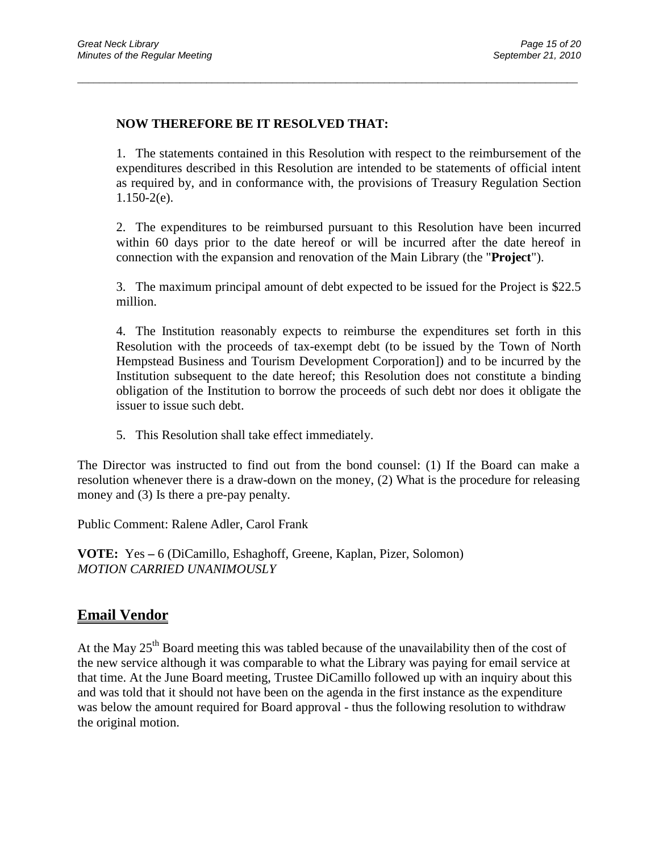### **NOW THEREFORE BE IT RESOLVED THAT:**

1. The statements contained in this Resolution with respect to the reimbursement of the expenditures described in this Resolution are intended to be statements of official intent as required by, and in conformance with, the provisions of Treasury Regulation Section 1.150-2(e).

\_\_\_\_\_\_\_\_\_\_\_\_\_\_\_\_\_\_\_\_\_\_\_\_\_\_\_\_\_\_\_\_\_\_\_\_\_\_\_\_\_\_\_\_\_\_\_\_\_\_\_\_\_\_\_\_\_\_\_\_\_\_\_\_\_\_\_\_\_\_\_\_\_\_\_\_\_\_\_\_\_\_\_\_\_\_\_\_\_\_\_\_\_

2. The expenditures to be reimbursed pursuant to this Resolution have been incurred within 60 days prior to the date hereof or will be incurred after the date hereof in connection with the expansion and renovation of the Main Library (the "**Project**").

3. The maximum principal amount of debt expected to be issued for the Project is \$22.5 million.

4. The Institution reasonably expects to reimburse the expenditures set forth in this Resolution with the proceeds of tax-exempt debt (to be issued by the Town of North Hempstead Business and Tourism Development Corporation]) and to be incurred by the Institution subsequent to the date hereof; this Resolution does not constitute a binding obligation of the Institution to borrow the proceeds of such debt nor does it obligate the issuer to issue such debt.

5. This Resolution shall take effect immediately.

The Director was instructed to find out from the bond counsel: (1) If the Board can make a resolution whenever there is a draw-down on the money, (2) What is the procedure for releasing money and (3) Is there a pre-pay penalty.

Public Comment: Ralene Adler, Carol Frank

**VOTE:** Yes **–** 6 (DiCamillo, Eshaghoff, Greene, Kaplan, Pizer, Solomon) *MOTION CARRIED UNANIMOUSLY*

## **Email Vendor**

At the May  $25<sup>th</sup>$  Board meeting this was tabled because of the unavailability then of the cost of the new service although it was comparable to what the Library was paying for email service at that time. At the June Board meeting, Trustee DiCamillo followed up with an inquiry about this and was told that it should not have been on the agenda in the first instance as the expenditure was below the amount required for Board approval - thus the following resolution to withdraw the original motion.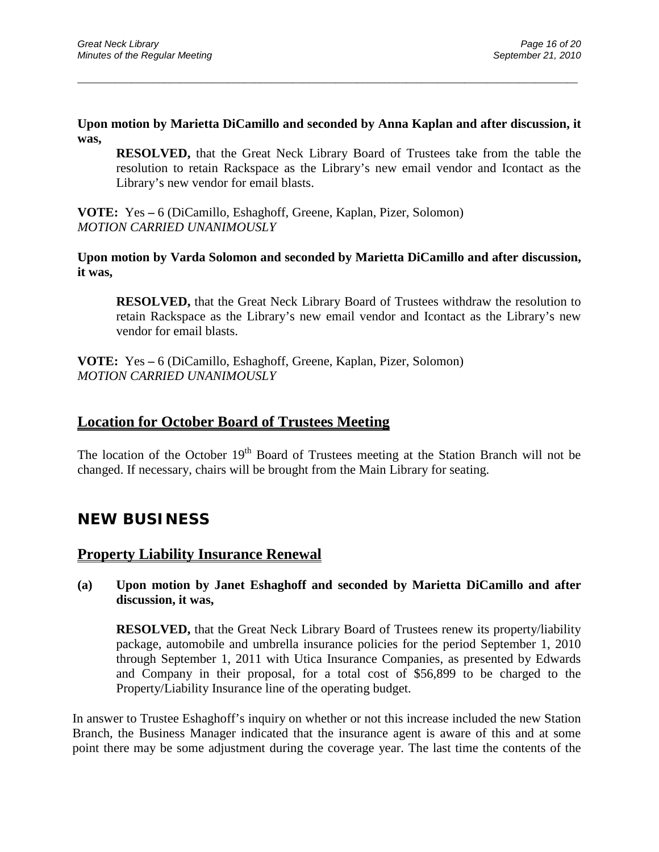### **Upon motion by Marietta DiCamillo and seconded by Anna Kaplan and after discussion, it was,**

\_\_\_\_\_\_\_\_\_\_\_\_\_\_\_\_\_\_\_\_\_\_\_\_\_\_\_\_\_\_\_\_\_\_\_\_\_\_\_\_\_\_\_\_\_\_\_\_\_\_\_\_\_\_\_\_\_\_\_\_\_\_\_\_\_\_\_\_\_\_\_\_\_\_\_\_\_\_\_\_\_\_\_\_\_\_\_\_\_\_\_\_\_

**RESOLVED,** that the Great Neck Library Board of Trustees take from the table the resolution to retain Rackspace as the Library's new email vendor and Icontact as the Library's new vendor for email blasts.

**VOTE:** Yes **–** 6 (DiCamillo, Eshaghoff, Greene, Kaplan, Pizer, Solomon) *MOTION CARRIED UNANIMOUSLY*

**Upon motion by Varda Solomon and seconded by Marietta DiCamillo and after discussion, it was,**

**RESOLVED,** that the Great Neck Library Board of Trustees withdraw the resolution to retain Rackspace as the Library's new email vendor and Icontact as the Library's new vendor for email blasts.

**VOTE:** Yes **–** 6 (DiCamillo, Eshaghoff, Greene, Kaplan, Pizer, Solomon) *MOTION CARRIED UNANIMOUSLY*

# **Location for October Board of Trustees Meeting**

The location of the October 19<sup>th</sup> Board of Trustees meeting at the Station Branch will not be changed. If necessary, chairs will be brought from the Main Library for seating.

# **NEW BUSINESS**

## **Property Liability Insurance Renewal**

### **(a) Upon motion by Janet Eshaghoff and seconded by Marietta DiCamillo and after discussion, it was,**

**RESOLVED,** that the Great Neck Library Board of Trustees renew its property/liability package, automobile and umbrella insurance policies for the period September 1, 2010 through September 1, 2011 with Utica Insurance Companies, as presented by Edwards and Company in their proposal, for a total cost of \$56,899 to be charged to the Property/Liability Insurance line of the operating budget.

In answer to Trustee Eshaghoff's inquiry on whether or not this increase included the new Station Branch, the Business Manager indicated that the insurance agent is aware of this and at some point there may be some adjustment during the coverage year. The last time the contents of the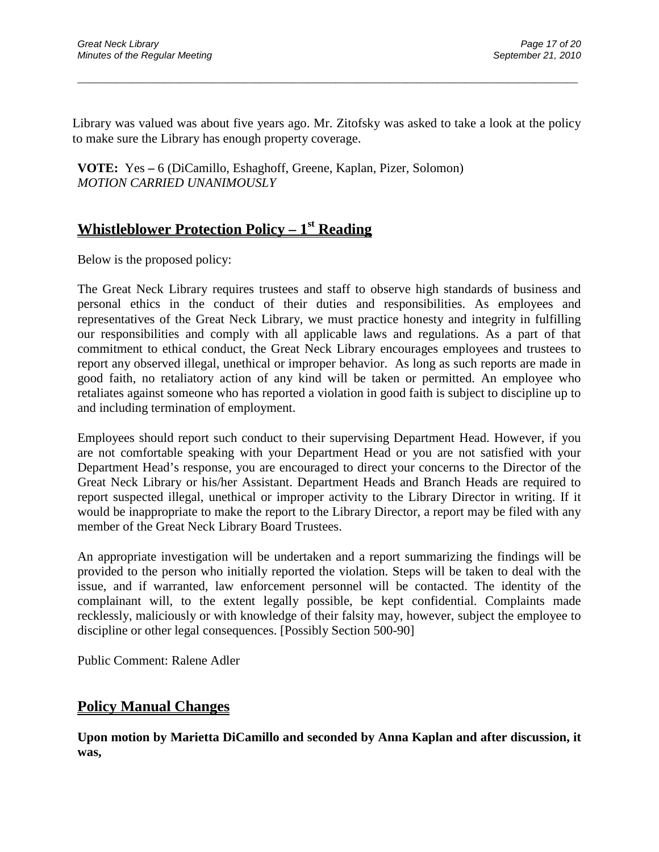Library was valued was about five years ago. Mr. Zitofsky was asked to take a look at the policy to make sure the Library has enough property coverage.

\_\_\_\_\_\_\_\_\_\_\_\_\_\_\_\_\_\_\_\_\_\_\_\_\_\_\_\_\_\_\_\_\_\_\_\_\_\_\_\_\_\_\_\_\_\_\_\_\_\_\_\_\_\_\_\_\_\_\_\_\_\_\_\_\_\_\_\_\_\_\_\_\_\_\_\_\_\_\_\_\_\_\_\_\_\_\_\_\_\_\_\_\_

**VOTE:** Yes **–** 6 (DiCamillo, Eshaghoff, Greene, Kaplan, Pizer, Solomon) *MOTION CARRIED UNANIMOUSLY*

# **Whistleblower Protection Policy – 1st Reading**

Below is the proposed policy:

The Great Neck Library requires trustees and staff to observe high standards of business and personal ethics in the conduct of their duties and responsibilities. As employees and representatives of the Great Neck Library, we must practice honesty and integrity in fulfilling our responsibilities and comply with all applicable laws and regulations. As a part of that commitment to ethical conduct, the Great Neck Library encourages employees and trustees to report any observed illegal, unethical or improper behavior. As long as such reports are made in good faith, no retaliatory action of any kind will be taken or permitted. An employee who retaliates against someone who has reported a violation in good faith is subject to discipline up to and including termination of employment.

Employees should report such conduct to their supervising Department Head. However, if you are not comfortable speaking with your Department Head or you are not satisfied with your Department Head's response, you are encouraged to direct your concerns to the Director of the Great Neck Library or his/her Assistant. Department Heads and Branch Heads are required to report suspected illegal, unethical or improper activity to the Library Director in writing. If it would be inappropriate to make the report to the Library Director, a report may be filed with any member of the Great Neck Library Board Trustees.

An appropriate investigation will be undertaken and a report summarizing the findings will be provided to the person who initially reported the violation. Steps will be taken to deal with the issue, and if warranted, law enforcement personnel will be contacted. The identity of the complainant will, to the extent legally possible, be kept confidential. Complaints made recklessly, maliciously or with knowledge of their falsity may, however, subject the employee to discipline or other legal consequences. [Possibly Section 500-90]

Public Comment: Ralene Adler

## **Policy Manual Changes**

**Upon motion by Marietta DiCamillo and seconded by Anna Kaplan and after discussion, it was,**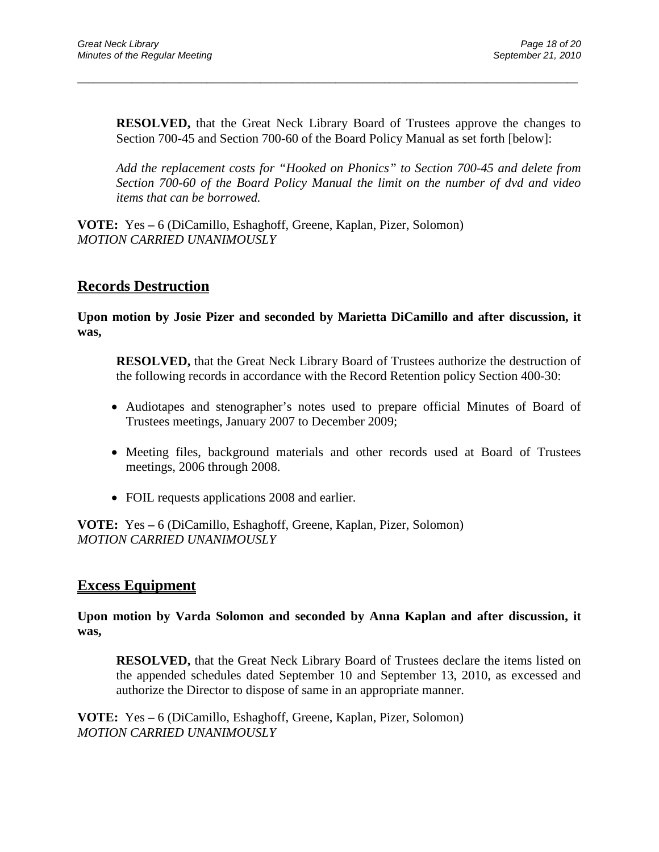**RESOLVED,** that the Great Neck Library Board of Trustees approve the changes to Section 700-45 and Section 700-60 of the Board Policy Manual as set forth [below]:

\_\_\_\_\_\_\_\_\_\_\_\_\_\_\_\_\_\_\_\_\_\_\_\_\_\_\_\_\_\_\_\_\_\_\_\_\_\_\_\_\_\_\_\_\_\_\_\_\_\_\_\_\_\_\_\_\_\_\_\_\_\_\_\_\_\_\_\_\_\_\_\_\_\_\_\_\_\_\_\_\_\_\_\_\_\_\_\_\_\_\_\_\_

*Add the replacement costs for "Hooked on Phonics" to Section 700-45 and delete from Section 700-60 of the Board Policy Manual the limit on the number of dvd and video items that can be borrowed.*

**VOTE:** Yes **–** 6 (DiCamillo, Eshaghoff, Greene, Kaplan, Pizer, Solomon) *MOTION CARRIED UNANIMOUSLY*

## **Records Destruction**

**Upon motion by Josie Pizer and seconded by Marietta DiCamillo and after discussion, it was,**

**RESOLVED,** that the Great Neck Library Board of Trustees authorize the destruction of the following records in accordance with the Record Retention policy Section 400-30:

- Audiotapes and stenographer's notes used to prepare official Minutes of Board of Trustees meetings, January 2007 to December 2009;
- Meeting files, background materials and other records used at Board of Trustees meetings, 2006 through 2008.
- FOIL requests applications 2008 and earlier.

**VOTE:** Yes **–** 6 (DiCamillo, Eshaghoff, Greene, Kaplan, Pizer, Solomon) *MOTION CARRIED UNANIMOUSLY* 

### **Excess Equipment**

**Upon motion by Varda Solomon and seconded by Anna Kaplan and after discussion, it was,**

**RESOLVED,** that the Great Neck Library Board of Trustees declare the items listed on the appended schedules dated September 10 and September 13, 2010, as excessed and authorize the Director to dispose of same in an appropriate manner.

**VOTE:** Yes **–** 6 (DiCamillo, Eshaghoff, Greene, Kaplan, Pizer, Solomon) *MOTION CARRIED UNANIMOUSLY*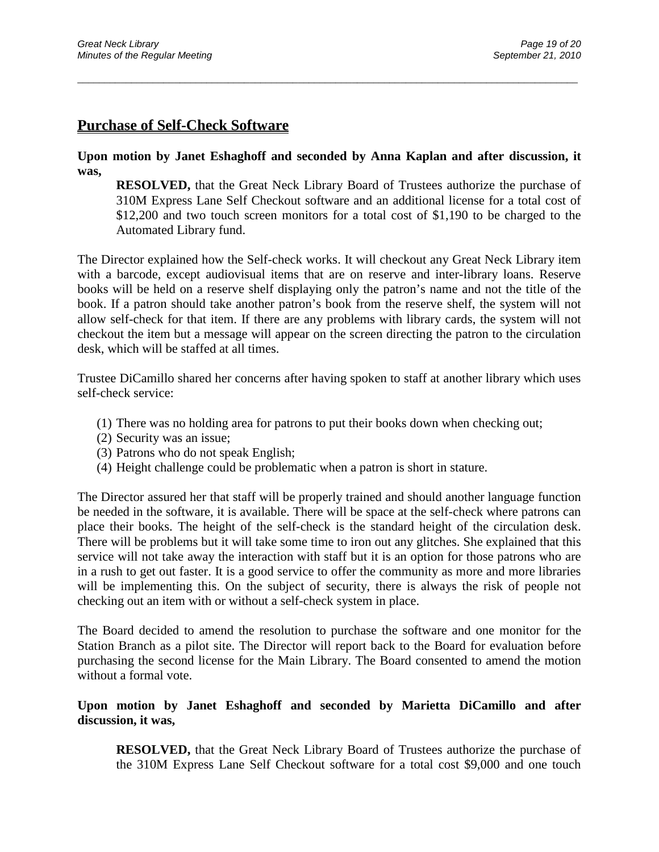## **Purchase of Self-Check Software**

**Upon motion by Janet Eshaghoff and seconded by Anna Kaplan and after discussion, it was,**

\_\_\_\_\_\_\_\_\_\_\_\_\_\_\_\_\_\_\_\_\_\_\_\_\_\_\_\_\_\_\_\_\_\_\_\_\_\_\_\_\_\_\_\_\_\_\_\_\_\_\_\_\_\_\_\_\_\_\_\_\_\_\_\_\_\_\_\_\_\_\_\_\_\_\_\_\_\_\_\_\_\_\_\_\_\_\_\_\_\_\_\_\_

**RESOLVED,** that the Great Neck Library Board of Trustees authorize the purchase of 310M Express Lane Self Checkout software and an additional license for a total cost of \$12,200 and two touch screen monitors for a total cost of \$1,190 to be charged to the Automated Library fund.

The Director explained how the Self-check works. It will checkout any Great Neck Library item with a barcode, except audiovisual items that are on reserve and inter-library loans. Reserve books will be held on a reserve shelf displaying only the patron's name and not the title of the book. If a patron should take another patron's book from the reserve shelf, the system will not allow self-check for that item. If there are any problems with library cards, the system will not checkout the item but a message will appear on the screen directing the patron to the circulation desk, which will be staffed at all times.

Trustee DiCamillo shared her concerns after having spoken to staff at another library which uses self-check service:

- (1) There was no holding area for patrons to put their books down when checking out;
- (2) Security was an issue;
- (3) Patrons who do not speak English;
- (4) Height challenge could be problematic when a patron is short in stature.

The Director assured her that staff will be properly trained and should another language function be needed in the software, it is available. There will be space at the self-check where patrons can place their books. The height of the self-check is the standard height of the circulation desk. There will be problems but it will take some time to iron out any glitches. She explained that this service will not take away the interaction with staff but it is an option for those patrons who are in a rush to get out faster. It is a good service to offer the community as more and more libraries will be implementing this. On the subject of security, there is always the risk of people not checking out an item with or without a self-check system in place.

The Board decided to amend the resolution to purchase the software and one monitor for the Station Branch as a pilot site. The Director will report back to the Board for evaluation before purchasing the second license for the Main Library. The Board consented to amend the motion without a formal vote.

### **Upon motion by Janet Eshaghoff and seconded by Marietta DiCamillo and after discussion, it was,**

**RESOLVED,** that the Great Neck Library Board of Trustees authorize the purchase of the 310M Express Lane Self Checkout software for a total cost \$9,000 and one touch